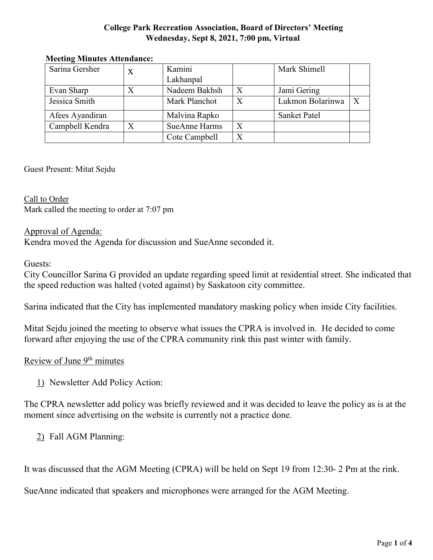### **College Park Recreation Association, Board of Directors' Meeting Wednesday, Sept 8, 2021, 7:00 pm, Virtual**

| Sarina Gersher  | X | Kamini               |                  | Mark Shimell        |              |
|-----------------|---|----------------------|------------------|---------------------|--------------|
|                 |   | Lakhanpal            |                  |                     |              |
| Evan Sharp      |   | Nadeem Bakhsh        | $\boldsymbol{X}$ | Jami Gering         |              |
| Jessica Smith   |   | Mark Planchot        | $\boldsymbol{X}$ | Lukmon Bolarinwa    | $\mathbf{X}$ |
| Afees Ayandiran |   | Malvina Rapko        |                  | <b>Sanket Patel</b> |              |
| Campbell Kendra | X | <b>SueAnne Harms</b> | X                |                     |              |
|                 |   | Cote Campbell        | X                |                     |              |

#### **Meeting Minutes Attendance:**

Guest Present: Mitat Sejdu

Call to Order Mark called the meeting to order at 7:07 pm

### Approval of Agenda:

Kendra moved the Agenda for discussion and SueAnne seconded it.

Guests:

City Councillor Sarina G provided an update regarding speed limit at residential street. She indicated that the speed reduction was halted (voted against) by Saskatoon city committee.

Sarina indicated that the City has implemented mandatory masking policy when inside City facilities.

Mitat Sejdu joined the meeting to observe what issues the CPRA is involved in. He decided to come forward after enjoying the use of the CPRA community rink this past winter with family.

### Review of June 9<sup>th</sup> minutes

1) Newsletter Add Policy Action:

The CPRA newsletter add policy was briefly reviewed and it was decided to leave the policy as is at the moment since advertising on the website is currently not a practice done.

2) Fall AGM Planning:

It was discussed that the AGM Meeting (CPRA) will be held on Sept 19 from 12:30- 2 Pm at the rink.

SueAnne indicated that speakers and microphones were arranged for the AGM Meeting.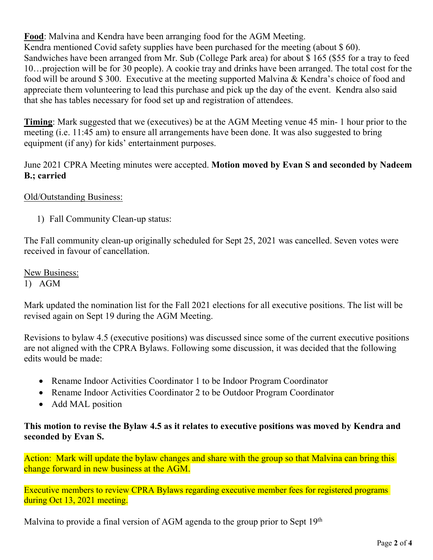**Food**: Malvina and Kendra have been arranging food for the AGM Meeting. Kendra mentioned Covid safety supplies have been purchased for the meeting (about \$ 60). Sandwiches have been arranged from Mr. Sub (College Park area) for about \$ 165 (\$55 for a tray to feed 10…projection will be for 30 people). A cookie tray and drinks have been arranged. The total cost for the food will be around \$ 300. Executive at the meeting supported Malvina & Kendra's choice of food and appreciate them volunteering to lead this purchase and pick up the day of the event. Kendra also said that she has tables necessary for food set up and registration of attendees.

**Timing**: Mark suggested that we (executives) be at the AGM Meeting venue 45 min- 1 hour prior to the meeting (i.e. 11:45 am) to ensure all arrangements have been done. It was also suggested to bring equipment (if any) for kids' entertainment purposes.

June 2021 CPRA Meeting minutes were accepted. **Motion moved by Evan S and seconded by Nadeem B.; carried**

## Old/Outstanding Business:

1) Fall Community Clean-up status:

The Fall community clean-up originally scheduled for Sept 25, 2021 was cancelled. Seven votes were received in favour of cancellation.

New Business: 1) AGM

Mark updated the nomination list for the Fall 2021 elections for all executive positions. The list will be revised again on Sept 19 during the AGM Meeting.

Revisions to bylaw 4.5 (executive positions) was discussed since some of the current executive positions are not aligned with the CPRA Bylaws. Following some discussion, it was decided that the following edits would be made:

- Rename Indoor Activities Coordinator 1 to be Indoor Program Coordinator
- Rename Indoor Activities Coordinator 2 to be Outdoor Program Coordinator
- Add MAL position

### **This motion to revise the Bylaw 4.5 as it relates to executive positions was moved by Kendra and seconded by Evan S.**

Action: Mark will update the bylaw changes and share with the group so that Malvina can bring this change forward in new business at the AGM.

Executive members to review CPRA Bylaws regarding executive member fees for registered programs during Oct 13, 2021 meeting.

Malvina to provide a final version of AGM agenda to the group prior to Sept  $19<sup>th</sup>$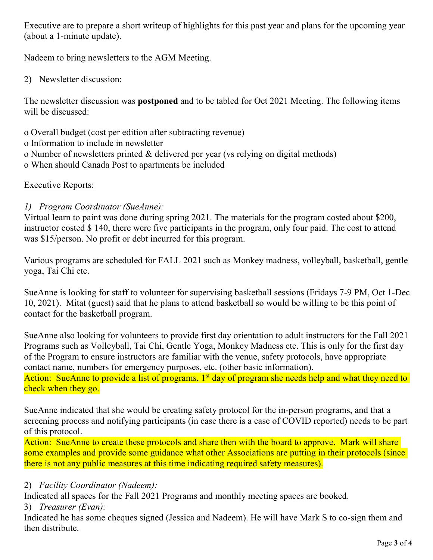Executive are to prepare a short writeup of highlights for this past year and plans for the upcoming year (about a 1-minute update).

Nadeem to bring newsletters to the AGM Meeting.

2) Newsletter discussion:

The newsletter discussion was **postponed** and to be tabled for Oct 2021 Meeting. The following items will be discussed:

- o Overall budget (cost per edition after subtracting revenue)
- o Information to include in newsletter
- o Number of newsletters printed & delivered per year (vs relying on digital methods)
- o When should Canada Post to apartments be included

## Executive Reports:

## *1) Program Coordinator (SueAnne):*

Virtual learn to paint was done during spring 2021. The materials for the program costed about \$200, instructor costed \$ 140, there were five participants in the program, only four paid. The cost to attend was \$15/person. No profit or debt incurred for this program.

Various programs are scheduled for FALL 2021 such as Monkey madness, volleyball, basketball, gentle yoga, Tai Chi etc.

SueAnne is looking for staff to volunteer for supervising basketball sessions (Fridays 7-9 PM, Oct 1-Dec 10, 2021). Mitat (guest) said that he plans to attend basketball so would be willing to be this point of contact for the basketball program.

SueAnne also looking for volunteers to provide first day orientation to adult instructors for the Fall 2021 Programs such as Volleyball, Tai Chi, Gentle Yoga, Monkey Madness etc. This is only for the first day of the Program to ensure instructors are familiar with the venue, safety protocols, have appropriate contact name, numbers for emergency purposes, etc. (other basic information). Action: SueAnne to provide a list of programs, 1<sup>st</sup> day of program she needs help and what they need to check when they go.

SueAnne indicated that she would be creating safety protocol for the in-person programs, and that a screening process and notifying participants (in case there is a case of COVID reported) needs to be part of this protocol.

Action: SueAnne to create these protocols and share then with the board to approve. Mark will share some examples and provide some guidance what other Associations are putting in their protocols (since there is not any public measures at this time indicating required safety measures).

# 2) *Facility Coordinator (Nadeem):*

Indicated all spaces for the Fall 2021 Programs and monthly meeting spaces are booked.

3) *Treasurer (Evan):*

Indicated he has some cheques signed (Jessica and Nadeem). He will have Mark S to co-sign them and then distribute.